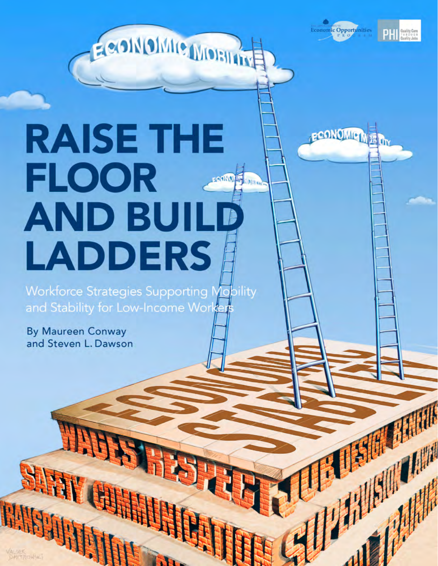**Economic Opportunities** 

**PCONOMIC** 



# **RAISE THE FLOOR AND BU LADDERS**

Feold OMIC MOBILER

**Workforce Strategies Supporting Mobility** and Stability for Low-Income Worker

HAN

**By Maureen Conway** and Steven L. Dawson

**SHART CENTER**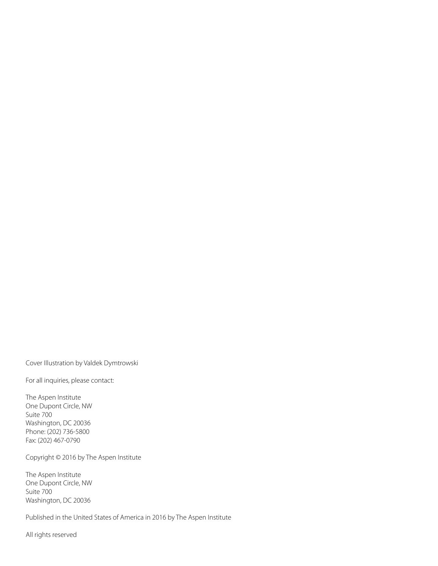Cover Illustration by Valdek Dymtrowski

For all inquiries, please contact:

The Aspen Institute One Dupont Circle, NW Suite 700 Washington, DC 20036 Phone: (202) 736-5800 Fax: (202) 467-0790

Copyright © 2016 by The Aspen Institute

The Aspen Institute One Dupont Circle, NW Suite 700 Washington, DC 20036

Published in the United States of America in 2016 by The Aspen Institute

All rights reserved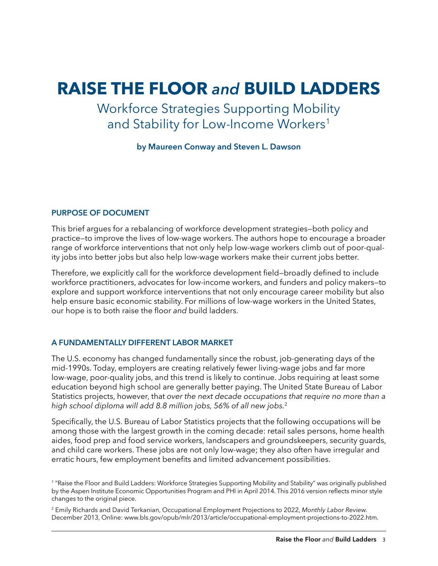# **Raise the Floor** *and* **Build Ladders**

Workforce Strategies Supporting Mobility and Stability for Low-Income Workers<sup>1</sup>

**by Maureen Conway and Steven L. Dawson**

### **Purpose of Document**

This brief argues for a rebalancing of workforce development strategies—both policy and practice—to improve the lives of low-wage workers. The authors hope to encourage a broader range of workforce interventions that not only help low-wage workers climb out of poor-quality jobs into better jobs but also help low-wage workers make their current jobs better.

Therefore, we explicitly call for the workforce development field—broadly defined to include workforce practitioners, advocates for low-income workers, and funders and policy makers—to explore and support workforce interventions that not only encourage career mobility but also help ensure basic economic stability. For millions of low-wage workers in the United States, our hope is to both raise the floor *and* build ladders.

### **A Fundamentally Different Labor Market**

The U.S. economy has changed fundamentally since the robust, job-generating days of the mid-1990s. Today, employers are creating relatively fewer living-wage jobs and far more low-wage, poor-quality jobs, and this trend is likely to continue. Jobs requiring at least some education beyond high school are generally better paying. The United State Bureau of Labor Statistics projects, however, that *over the next decade occupations that require no more than a high school diploma will add 8.8 million jobs, 56% of all new jobs.*<sup>2</sup>

Specifically, the U.S. Bureau of Labor Statistics projects that the following occupations will be among those with the largest growth in the coming decade: retail sales persons, home health aides, food prep and food service workers, landscapers and groundskeepers, security guards, and child care workers. These jobs are not only low-wage; they also often have irregular and erratic hours, few employment benefits and limited advancement possibilities.

2 Emily Richards and David Terkanian, Occupational Employment Projections to 2022, *Monthly Labor Review.* December 2013, Online: www.bls.gov/opub/mlr/2013/article/occupational-employment-projections-to-2022.htm.

<sup>1</sup> "Raise the Floor and Build Ladders: Workforce Strategies Supporting Mobility and Stability" was originally published by the Aspen Institute Economic Opportunities Program and PHI in April 2014. This 2016 version reflects minor style changes to the original piece.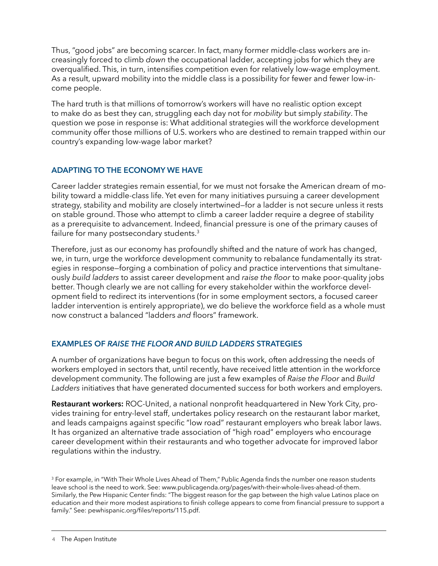Thus, "good jobs" are becoming scarcer. In fact, many former middle-class workers are increasingly forced to climb *down* the occupational ladder, accepting jobs for which they are overqualified. This, in turn, intensifies competition even for relatively low-wage employment. As a result, upward mobility into the middle class is a possibility for fewer and fewer low-income people.

The hard truth is that millions of tomorrow's workers will have no realistic option except to make do as best they can, struggling each day not for *mobility* but simply *stability*. The question we pose in response is: What additional strategies will the workforce development community offer those millions of U.S. workers who are destined to remain trapped within our country's expanding low-wage labor market?

# **Adapting to the Economy We Have**

Career ladder strategies remain essential, for we must not forsake the American dream of mobility toward a middle-class life. Yet even for many initiatives pursuing a career development strategy, stability and mobility are closely intertwined—for a ladder is not secure unless it rests on stable ground. Those who attempt to climb a career ladder require a degree of stability as a prerequisite to advancement. Indeed, financial pressure is one of the primary causes of failure for many postsecondary students.<sup>3</sup>

Therefore, just as our economy has profoundly shifted and the nature of work has changed, we, in turn, urge the workforce development community to rebalance fundamentally its strategies in response—forging a combination of policy and practice interventions that simultaneously *build ladders* to assist career development and *raise the floor* to make poor-quality jobs better. Though clearly we are not calling for every stakeholder within the workforce development field to redirect its interventions (for in some employment sectors, a focused career ladder intervention is entirely appropriate), we do believe the workforce field as a whole must now construct a balanced "ladders *and* floors" framework.

# **Examples of** *Raise the Floor and Build Ladders* **Strategies**

A number of organizations have begun to focus on this work, often addressing the needs of workers employed in sectors that, until recently, have received little attention in the workforce development community. The following are just a few examples of *Raise the Floor* and *Build Ladders* initiatives that have generated documented success for both workers and employers.

**Restaurant workers:** ROC-United, a national nonprofit headquartered in New York City, provides training for entry-level staff, undertakes policy research on the restaurant labor market, and leads campaigns against specific "low road" restaurant employers who break labor laws. It has organized an alternative trade association of "high road" employers who encourage career development within their restaurants and who together advocate for improved labor regulations within the industry.

<sup>3</sup> For example, in "With Their Whole Lives Ahead of Them," Public Agenda finds the number one reason students leave school is the need to work. See: www.publicagenda.org/pages/with-their-whole-lives-ahead-of-them. Similarly, the Pew Hispanic Center finds: "The biggest reason for the gap between the high value Latinos place on education and their more modest aspirations to finish college appears to come from financial pressure to support a family." See: pewhispanic.org/files/reports/115.pdf.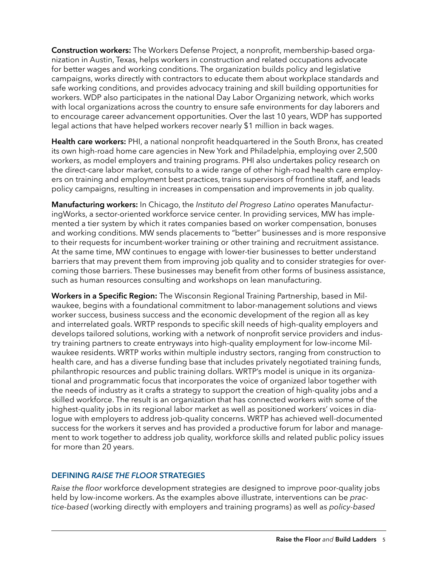**Construction workers:** The Workers Defense Project, a nonprofit, membership-based organization in Austin, Texas, helps workers in construction and related occupations advocate for better wages and working conditions. The organization builds policy and legislative campaigns, works directly with contractors to educate them about workplace standards and safe working conditions, and provides advocacy training and skill building opportunities for workers. WDP also participates in the national Day Labor Organizing network, which works with local organizations across the country to ensure safe environments for day laborers and to encourage career advancement opportunities. Over the last 10 years, WDP has supported legal actions that have helped workers recover nearly \$1 million in back wages.

**Health care workers:** PHI, a national nonprofit headquartered in the South Bronx, has created its own high-road home care agencies in New York and Philadelphia, employing over 2,500 workers, as model employers and training programs. PHI also undertakes policy research on the direct-care labor market, consults to a wide range of other high-road health care employers on training and employment best practices, trains supervisors of frontline staff, and leads policy campaigns, resulting in increases in compensation and improvements in job quality.

**Manufacturing workers:** In Chicago, the *Instituto del Progreso Latino* operates ManufacturingWorks, a sector-oriented workforce service center. In providing services, MW has implemented a tier system by which it rates companies based on worker compensation, bonuses and working conditions. MW sends placements to "better" businesses and is more responsive to their requests for incumbent-worker training or other training and recruitment assistance. At the same time, MW continues to engage with lower-tier businesses to better understand barriers that may prevent them from improving job quality and to consider strategies for overcoming those barriers. These businesses may benefit from other forms of business assistance, such as human resources consulting and workshops on lean manufacturing.

**Workers in a Specific Region:** The Wisconsin Regional Training Partnership, based in Milwaukee, begins with a foundational commitment to labor-management solutions and views worker success, business success and the economic development of the region all as key and interrelated goals. WRTP responds to specific skill needs of high-quality employers and develops tailored solutions, working with a network of nonprofit service providers and industry training partners to create entryways into high-quality employment for low-income Milwaukee residents. WRTP works within multiple industry sectors, ranging from construction to health care, and has a diverse funding base that includes privately negotiated training funds, philanthropic resources and public training dollars. WRTP's model is unique in its organizational and programmatic focus that incorporates the voice of organized labor together with the needs of industry as it crafts a strategy to support the creation of high-quality jobs and a skilled workforce. The result is an organization that has connected workers with some of the highest-quality jobs in its regional labor market as well as positioned workers' voices in dialogue with employers to address job-quality concerns. WRTP has achieved well-documented success for the workers it serves and has provided a productive forum for labor and management to work together to address job quality, workforce skills and related public policy issues for more than 20 years.

# **Defining** *Raise the Floor* **Strategies**

*Raise the floor* workforce development strategies are designed to improve poor-quality jobs held by low-income workers. As the examples above illustrate, interventions can be *practice-based* (working directly with employers and training programs) as well as *policy-based*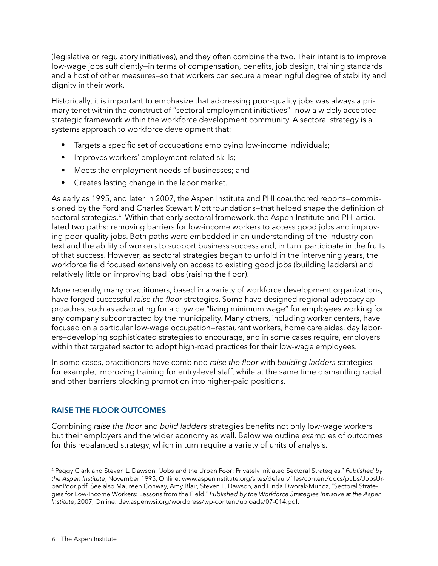(legislative or regulatory initiatives), and they often combine the two. Their intent is to improve low-wage jobs sufficiently—in terms of compensation, benefits, job design, training standards and a host of other measures—so that workers can secure a meaningful degree of stability and dignity in their work.

Historically, it is important to emphasize that addressing poor-quality jobs was always a primary tenet within the construct of "sectoral employment initiatives"—now a widely accepted strategic framework within the workforce development community. A sectoral strategy is a systems approach to workforce development that:

- Targets a specific set of occupations employing low-income individuals;
- Improves workers' employment-related skills;
- Meets the employment needs of businesses; and
- Creates lasting change in the labor market.

As early as 1995, and later in 2007, the Aspen Institute and PHI coauthored reports—commissioned by the Ford and Charles Stewart Mott foundations—that helped shape the definition of sectoral strategies.<sup>4</sup> Within that early sectoral framework, the Aspen Institute and PHI articulated two paths: removing barriers for low-income workers to access good jobs and improving poor-quality jobs. Both paths were embedded in an understanding of the industry context and the ability of workers to support business success and, in turn, participate in the fruits of that success. However, as sectoral strategies began to unfold in the intervening years, the workforce field focused extensively on access to existing good jobs (building ladders) and relatively little on improving bad jobs (raising the floor).

More recently, many practitioners, based in a variety of workforce development organizations, have forged successful *raise the floor* strategies. Some have designed regional advocacy approaches, such as advocating for a citywide "living minimum wage" for employees working for any company subcontracted by the municipality. Many others, including worker centers, have focused on a particular low-wage occupation—restaurant workers, home care aides, day laborers—developing sophisticated strategies to encourage, and in some cases require, employers within that targeted sector to adopt high-road practices for their low-wage employees.

In some cases, practitioners have combined *raise the floor* with *building ladders* strategies for example, improving training for entry-level staff, while at the same time dismantling racial and other barriers blocking promotion into higher-paid positions.

# **Raise the Floor Outcomes**

Combining *raise the floor* and *build ladders* strategies benefits not only low-wage workers but their employers and the wider economy as well. Below we outline examples of outcomes for this rebalanced strategy, which in turn require a variety of units of analysis.

<sup>4</sup> Peggy Clark and Steven L. Dawson, "Jobs and the Urban Poor: Privately Initiated Sectoral Strategies," *Published by the Aspen Institute*, November 1995, Online: www.aspeninstitute.org/sites/default/files/content/docs/pubs/JobsUrbanPoor.pdf. See also Maureen Conway, Amy Blair, Steven L. Dawson, and Linda Dworak-Muñoz, "Sectoral Strategies for Low-Income Workers: Lessons from the Field," *Published by the Workforce Strategies Initiative at the Aspen Institute*, 2007, Online: dev.aspenwsi.org/wordpress/wp-content/uploads/07-014.pdf.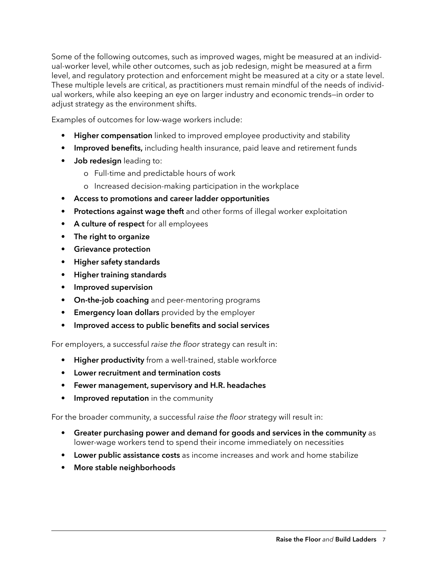Some of the following outcomes, such as improved wages, might be measured at an individual-worker level, while other outcomes, such as job redesign, might be measured at a firm level, and regulatory protection and enforcement might be measured at a city or a state level. These multiple levels are critical, as practitioners must remain mindful of the needs of individual workers, while also keeping an eye on larger industry and economic trends—in order to adjust strategy as the environment shifts.

Examples of outcomes for low-wage workers include:

- **• Higher compensation** linked to improved employee productivity and stability
- **• Improved benefits,** including health insurance, paid leave and retirement funds
- **• Job redesign** leading to:
	- o Full-time and predictable hours of work
	- o Increased decision-making participation in the workplace
- **• Access to promotions and career ladder opportunities**
- **• Protections against wage theft** and other forms of illegal worker exploitation
- **• A culture of respect** for all employees
- **• The right to organize**
- **• Grievance protection**
- **• Higher safety standards**
- **• Higher training standards**
- **• Improved supervision**
- **• On-the-job coaching** and peer-mentoring programs
- **• Emergency loan dollars** provided by the employer
- **• Improved access to public benefits and social services**

For employers, a successful *raise the floor* strategy can result in:

- **• Higher productivity** from a well-trained, stable workforce
- **• Lower recruitment and termination costs**
- **• Fewer management, supervisory and H.R. headaches**
- **Improved reputation** in the community

For the broader community, a successful *raise the floor* strategy will result in:

- **• Greater purchasing power and demand for goods and services in the community** as lower-wage workers tend to spend their income immediately on necessities
- **• Lower public assistance costs** as income increases and work and home stabilize
- **• More stable neighborhoods**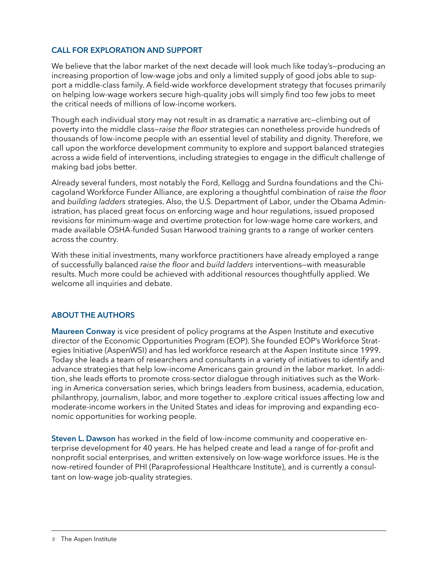## **Call for Exploration and Support**

We believe that the labor market of the next decade will look much like today's—producing an increasing proportion of low-wage jobs and only a limited supply of good jobs able to support a middle-class family. A field-wide workforce development strategy that focuses primarily on helping low-wage workers secure high-quality jobs will simply find too few jobs to meet the critical needs of millions of low-income workers.

Though each individual story may not result in as dramatic a narrative arc—climbing out of poverty into the middle class—*raise the floor* strategies can nonetheless provide hundreds of thousands of low-income people with an essential level of stability and dignity. Therefore, we call upon the workforce development community to explore and support balanced strategies across a wide field of interventions, including strategies to engage in the difficult challenge of making bad jobs better.

Already several funders, most notably the Ford, Kellogg and Surdna foundations and the Chicagoland Workforce Funder Alliance, are exploring a thoughtful combination of *raise the floor*  and *building ladders* strategies. Also, the U.S. Department of Labor, under the Obama Administration, has placed great focus on enforcing wage and hour regulations, issued proposed revisions for minimum-wage and overtime protection for low-wage home care workers, and made available OSHA-funded Susan Harwood training grants to a range of worker centers across the country.

With these initial investments, many workforce practitioners have already employed a range of successfully balanced *raise the floor* and *build ladders* interventions—with measurable results. Much more could be achieved with additional resources thoughtfully applied. We welcome all inquiries and debate.

# **ABOUT THE AUTHORS**

**Maureen Conway** is vice president of policy programs at the Aspen Institute and executive director of the Economic Opportunities Program (EOP). She founded EOP's Workforce Strategies Initiative (AspenWSI) and has led workforce research at the Aspen Institute since 1999. Today she leads a team of researchers and consultants in a variety of initiatives to identify and advance strategies that help low-income Americans gain ground in the labor market. In addition, she leads efforts to promote cross-sector dialogue through initiatives such as the Working in America conversation series, which brings leaders from business, academia, education, philanthropy, journalism, labor, and more together to .explore critical issues affecting low and moderate-income workers in the United States and ideas for improving and expanding economic opportunities for working people.

**Steven L. Dawson** has worked in the field of low-income community and cooperative enterprise development for 40 years. He has helped create and lead a range of for-profit and nonprofit social enterprises, and written extensively on low-wage workforce issues. He is the now-retired founder of PHI (Paraprofessional Healthcare Institute), and is currently a consultant on low-wage job-quality strategies.